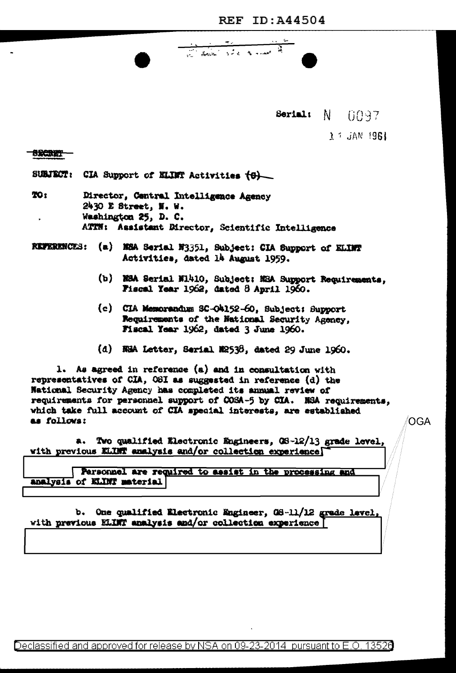Serial: N 0097

 $\lambda$  i JAN 1961

## **SRCRET**

SUBJECT: CIA Support of ELINT Activities (6)

- TO: Director, Central Intelligence Agency 2430 E Street, N. W. Washington 25, D. C. ATTN: Assistant Director, Scientific Intelligence
- REFERENCES: (a) NEA Serial N3351, Subject: CIA Support of ELINT Activities, dated là August 1959.
	- (b) NSA Serial N1410, Subject: NSA Support Requirements, Fiscal Year 1962, dated 8 April 1960.
	- (c) CIA Memorandum SC-O4152-60, Subject: Support Requirements of the National Security Agency, Fiscal Year 1962, dated 3 June 1960.

<u>and the state of the state of the state of the state of the state of the state of the state of the state of the state of the state of the state of the state of the state of the state of the state of the state of the state</u>

(d) NHA Letter, Serial N2538, dated 29 June 1960.

1. As agreed in reference (a) and in consultation with representatives of CIA, OSI as suggested in reference (d) the National Security Agency has completed its annual review of requirements for personnel support of COSA-5 by CIA. NSA requirements, which take full account of CIA special interests, are established as follows:

a. Two qualified Electronic Engineers, OS-12/13 grade level, with previous ELINT analysis and/or collection experience

Personnel are required to assist in the processing and analysis of KLINT material

b. One qualified Electronic Engineer, 08-11/12 grade level, with previous ELINT analysis and/or collection experience

OGA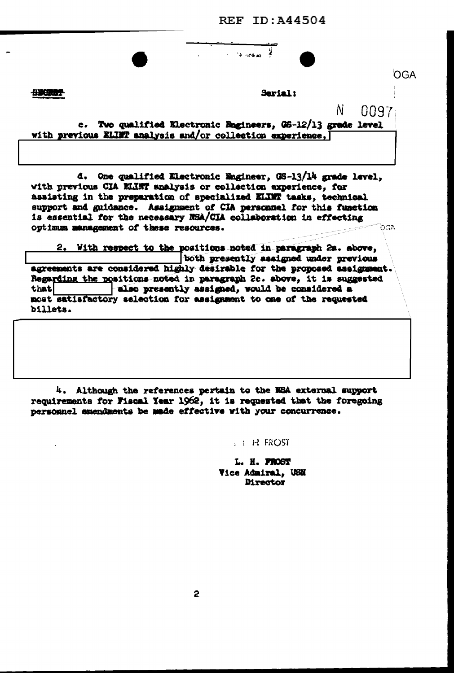**REF ID: A44504** 

 $\mathcal{L}$ 

 $\sim$  13 -44  $\mu$ 

**SECTOR** 

Serial:

N

0097

c. Two qualified Electronic Engineers, 06-12/13 grade level with previous ELINT analysis and/or collection experience, [

d. One qualified Electronic Engineer, 08-13/14 grade level, with previous CIA KLINT analysis or collection experience, for assisting in the preparation of specialized ELIMT tasks, technical support and guidance. Assignment of CIA personnel for this function is essential for the necessary NSA/CIA collaboration in effecting optimum management of these resources. OGA

2. With respect to the positions noted in paragraph 2a. above, both presently assigned under previous agreements are considered highly desirable for the proposed assignment. Regarding the positions noted in paragraph 2c. above, it is suggested also presently assigned, would be considered a that most satisfactory selection for assignment to one of the requested billets.

4. Although the references pertain to the NSA external support requirements for Fiscal Year 1962, it is requested that the foregoing personnel amendments be made effective with your concurrence.

 $5 + H$  FROST

L. H. PROST Vice Admiral, USN Director

OGA